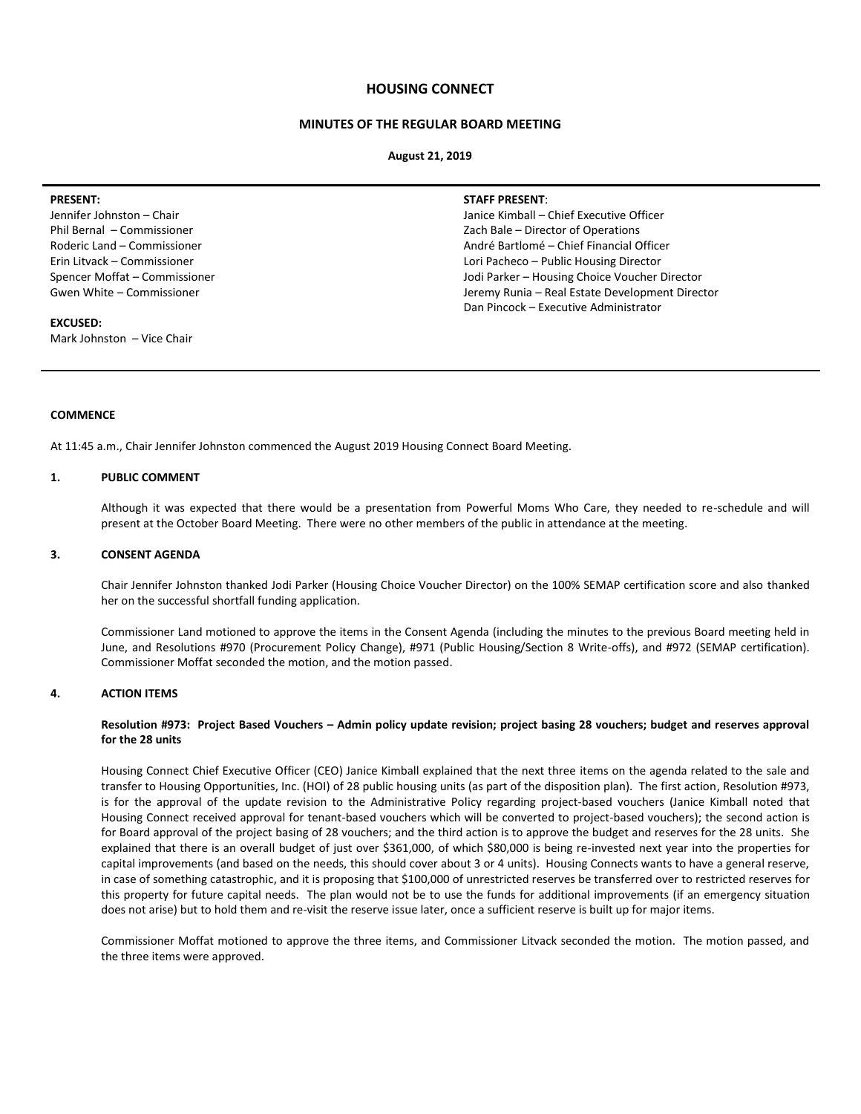# **HOUSING CONNECT**

# **MINUTES OF THE REGULAR BOARD MEETING**

#### **August 21, 2019**

#### **PRESENT:**

Jennifer Johnston – Chair Phil Bernal – Commissioner Roderic Land – Commissioner Erin Litvack – Commissioner Spencer Moffat – Commissioner Gwen White – Commissioner

# **EXCUSED:**

Mark Johnston – Vice Chair

### **STAFF PRESENT**:

Janice Kimball – Chief Executive Officer Zach Bale – Director of Operations André Bartlomé – Chief Financial Officer Lori Pacheco – Public Housing Director Jodi Parker – Housing Choice Voucher Director Jeremy Runia – Real Estate Development Director Dan Pincock – Executive Administrator

# **COMMENCE**

At 11:45 a.m., Chair Jennifer Johnston commenced the August 2019 Housing Connect Board Meeting.

### **1. PUBLIC COMMENT**

Although it was expected that there would be a presentation from Powerful Moms Who Care, they needed to re-schedule and will present at the October Board Meeting. There were no other members of the public in attendance at the meeting.

#### **3. CONSENT AGENDA**

Chair Jennifer Johnston thanked Jodi Parker (Housing Choice Voucher Director) on the 100% SEMAP certification score and also thanked her on the successful shortfall funding application.

Commissioner Land motioned to approve the items in the Consent Agenda (including the minutes to the previous Board meeting held in June, and Resolutions #970 (Procurement Policy Change), #971 (Public Housing/Section 8 Write-offs), and #972 (SEMAP certification). Commissioner Moffat seconded the motion, and the motion passed.

#### **4. ACTION ITEMS**

# **Resolution #973: Project Based Vouchers – Admin policy update revision; project basing 28 vouchers; budget and reserves approval for the 28 units**

Housing Connect Chief Executive Officer (CEO) Janice Kimball explained that the next three items on the agenda related to the sale and transfer to Housing Opportunities, Inc. (HOI) of 28 public housing units (as part of the disposition plan). The first action, Resolution #973, is for the approval of the update revision to the Administrative Policy regarding project-based vouchers (Janice Kimball noted that Housing Connect received approval for tenant-based vouchers which will be converted to project-based vouchers); the second action is for Board approval of the project basing of 28 vouchers; and the third action is to approve the budget and reserves for the 28 units. She explained that there is an overall budget of just over \$361,000, of which \$80,000 is being re-invested next year into the properties for capital improvements (and based on the needs, this should cover about 3 or 4 units). Housing Connects wants to have a general reserve, in case of something catastrophic, and it is proposing that \$100,000 of unrestricted reserves be transferred over to restricted reserves for this property for future capital needs. The plan would not be to use the funds for additional improvements (if an emergency situation does not arise) but to hold them and re-visit the reserve issue later, once a sufficient reserve is built up for major items.

Commissioner Moffat motioned to approve the three items, and Commissioner Litvack seconded the motion. The motion passed, and the three items were approved.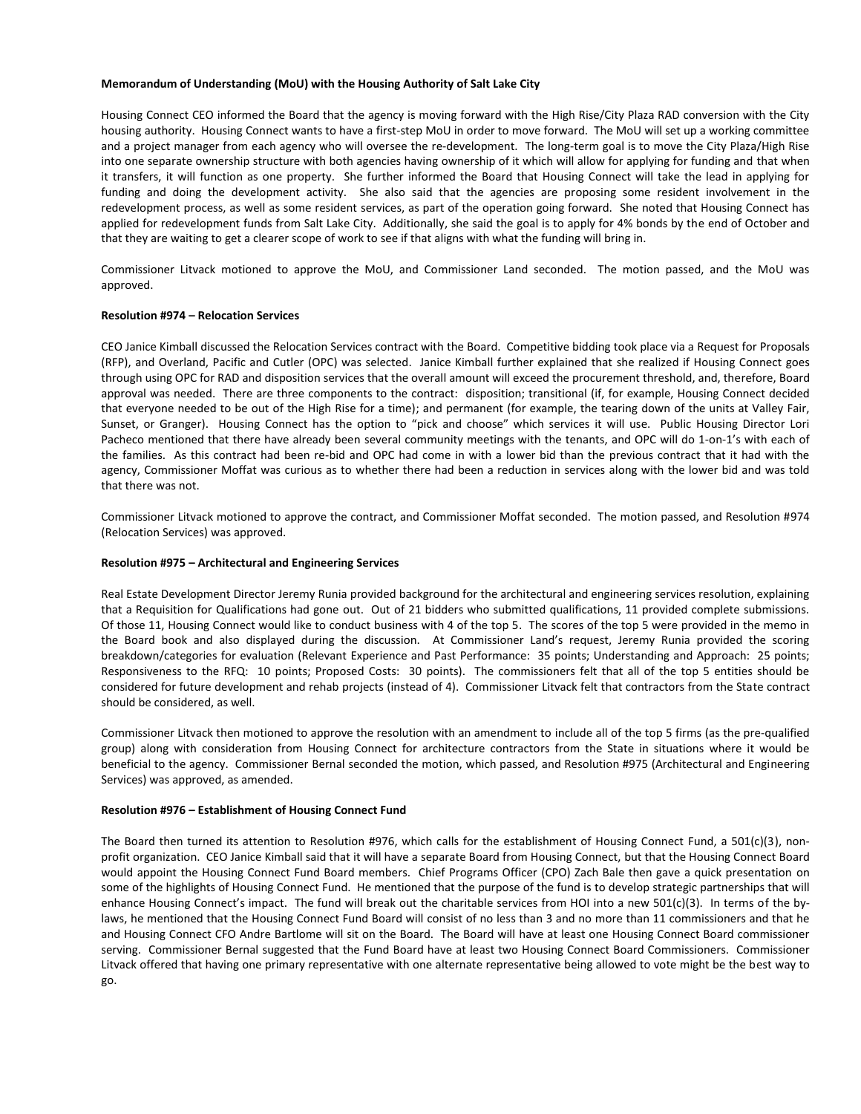## **Memorandum of Understanding (MoU) with the Housing Authority of Salt Lake City**

Housing Connect CEO informed the Board that the agency is moving forward with the High Rise/City Plaza RAD conversion with the City housing authority. Housing Connect wants to have a first-step MoU in order to move forward. The MoU will set up a working committee and a project manager from each agency who will oversee the re-development. The long-term goal is to move the City Plaza/High Rise into one separate ownership structure with both agencies having ownership of it which will allow for applying for funding and that when it transfers, it will function as one property. She further informed the Board that Housing Connect will take the lead in applying for funding and doing the development activity. She also said that the agencies are proposing some resident involvement in the redevelopment process, as well as some resident services, as part of the operation going forward. She noted that Housing Connect has applied for redevelopment funds from Salt Lake City. Additionally, she said the goal is to apply for 4% bonds by the end of October and that they are waiting to get a clearer scope of work to see if that aligns with what the funding will bring in.

Commissioner Litvack motioned to approve the MoU, and Commissioner Land seconded. The motion passed, and the MoU was approved.

# **Resolution #974 – Relocation Services**

CEO Janice Kimball discussed the Relocation Services contract with the Board. Competitive bidding took place via a Request for Proposals (RFP), and Overland, Pacific and Cutler (OPC) was selected. Janice Kimball further explained that she realized if Housing Connect goes through using OPC for RAD and disposition services that the overall amount will exceed the procurement threshold, and, therefore, Board approval was needed. There are three components to the contract: disposition; transitional (if, for example, Housing Connect decided that everyone needed to be out of the High Rise for a time); and permanent (for example, the tearing down of the units at Valley Fair, Sunset, or Granger). Housing Connect has the option to "pick and choose" which services it will use. Public Housing Director Lori Pacheco mentioned that there have already been several community meetings with the tenants, and OPC will do 1-on-1's with each of the families. As this contract had been re-bid and OPC had come in with a lower bid than the previous contract that it had with the agency, Commissioner Moffat was curious as to whether there had been a reduction in services along with the lower bid and was told that there was not.

Commissioner Litvack motioned to approve the contract, and Commissioner Moffat seconded. The motion passed, and Resolution #974 (Relocation Services) was approved.

#### **Resolution #975 – Architectural and Engineering Services**

Real Estate Development Director Jeremy Runia provided background for the architectural and engineering services resolution, explaining that a Requisition for Qualifications had gone out. Out of 21 bidders who submitted qualifications, 11 provided complete submissions. Of those 11, Housing Connect would like to conduct business with 4 of the top 5. The scores of the top 5 were provided in the memo in the Board book and also displayed during the discussion. At Commissioner Land's request, Jeremy Runia provided the scoring breakdown/categories for evaluation (Relevant Experience and Past Performance: 35 points; Understanding and Approach: 25 points; Responsiveness to the RFQ: 10 points; Proposed Costs: 30 points). The commissioners felt that all of the top 5 entities should be considered for future development and rehab projects (instead of 4). Commissioner Litvack felt that contractors from the State contract should be considered, as well.

Commissioner Litvack then motioned to approve the resolution with an amendment to include all of the top 5 firms (as the pre-qualified group) along with consideration from Housing Connect for architecture contractors from the State in situations where it would be beneficial to the agency. Commissioner Bernal seconded the motion, which passed, and Resolution #975 (Architectural and Engineering Services) was approved, as amended.

# **Resolution #976 – Establishment of Housing Connect Fund**

The Board then turned its attention to Resolution #976, which calls for the establishment of Housing Connect Fund, a 501(c)(3), nonprofit organization. CEO Janice Kimball said that it will have a separate Board from Housing Connect, but that the Housing Connect Board would appoint the Housing Connect Fund Board members. Chief Programs Officer (CPO) Zach Bale then gave a quick presentation on some of the highlights of Housing Connect Fund. He mentioned that the purpose of the fund is to develop strategic partnerships that will enhance Housing Connect's impact. The fund will break out the charitable services from HOI into a new 501(c)(3). In terms of the bylaws, he mentioned that the Housing Connect Fund Board will consist of no less than 3 and no more than 11 commissioners and that he and Housing Connect CFO Andre Bartlome will sit on the Board. The Board will have at least one Housing Connect Board commissioner serving. Commissioner Bernal suggested that the Fund Board have at least two Housing Connect Board Commissioners. Commissioner Litvack offered that having one primary representative with one alternate representative being allowed to vote might be the best way to go.